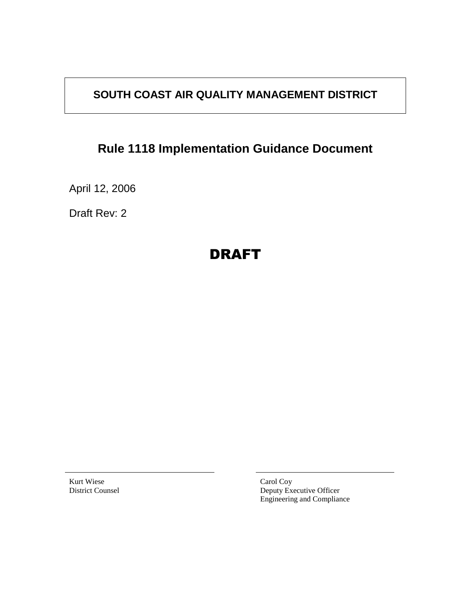# **SOUTH COAST AIR QUALITY MANAGEMENT DISTRICT**

# **Rule 1118 Implementation Guidance Document**

April 12, 2006

Draft Rev: 2

# DRAFT

Kurt Wiese District Counsel Carol Coy Deputy Executive Officer Engineering and Compliance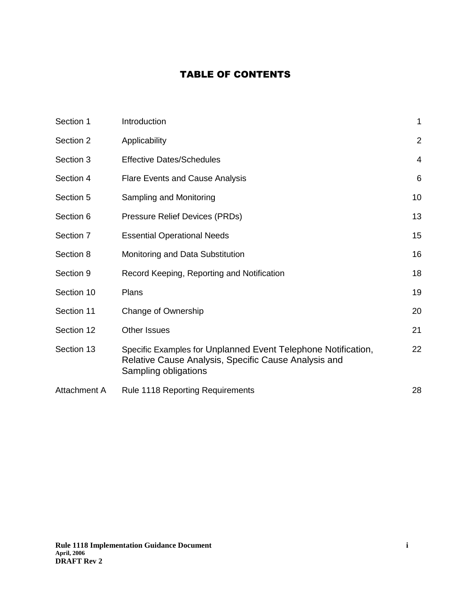## TABLE OF CONTENTS

| Section 1           | Introduction                                                                                                                                  | 1              |
|---------------------|-----------------------------------------------------------------------------------------------------------------------------------------------|----------------|
| Section 2           | Applicability                                                                                                                                 | $\overline{2}$ |
| Section 3           | <b>Effective Dates/Schedules</b>                                                                                                              | $\overline{4}$ |
| Section 4           | <b>Flare Events and Cause Analysis</b>                                                                                                        | 6              |
| Section 5           | Sampling and Monitoring                                                                                                                       | 10             |
| Section 6           | Pressure Relief Devices (PRDs)                                                                                                                | 13             |
| Section 7           | <b>Essential Operational Needs</b>                                                                                                            | 15             |
| Section 8           | Monitoring and Data Substitution                                                                                                              | 16             |
| Section 9           | Record Keeping, Reporting and Notification                                                                                                    | 18             |
| Section 10          | Plans                                                                                                                                         | 19             |
| Section 11          | Change of Ownership                                                                                                                           | 20             |
| Section 12          | <b>Other Issues</b>                                                                                                                           | 21             |
| Section 13          | Specific Examples for Unplanned Event Telephone Notification,<br>Relative Cause Analysis, Specific Cause Analysis and<br>Sampling obligations | 22             |
| <b>Attachment A</b> | <b>Rule 1118 Reporting Requirements</b>                                                                                                       | 28             |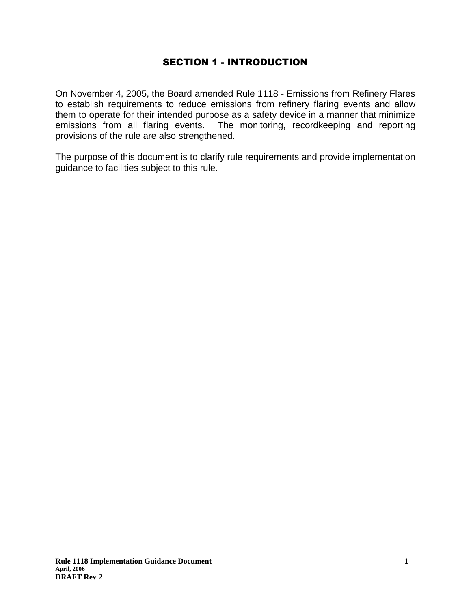## SECTION 1 - INTRODUCTION

On November 4, 2005, the Board amended Rule 1118 - Emissions from Refinery Flares to establish requirements to reduce emissions from refinery flaring events and allow them to operate for their intended purpose as a safety device in a manner that minimize emissions from all flaring events. The monitoring, recordkeeping and reporting provisions of the rule are also strengthened.

The purpose of this document is to clarify rule requirements and provide implementation guidance to facilities subject to this rule.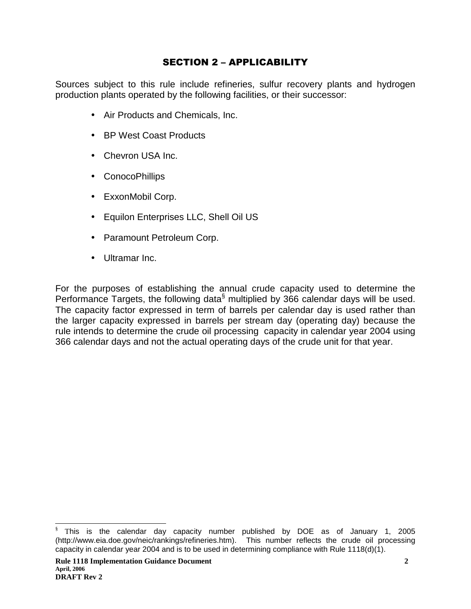## SECTION 2 – APPLICABILITY

Sources subject to this rule include refineries, sulfur recovery plants and hydrogen production plants operated by the following facilities, or their successor:

- Air Products and Chemicals, Inc.
- BP West Coast Products
- Chevron USA Inc.
- ConocoPhillips
- ExxonMobil Corp.
- Equilon Enterprises LLC, Shell Oil US
- Paramount Petroleum Corp.
- Ultramar Inc.

For the purposes of establishing the annual crude capacity used to determine the Performance Targets, the following data $\delta$  multiplied by 366 calendar days will be used. The capacity factor expressed in term of barrels per calendar day is used rather than the larger capacity expressed in barrels per stream day (operating day) because the rule intends to determine the crude oil processing capacity in calendar year 2004 using 366 calendar days and not the actual operating days of the crude unit for that year.

 § This is the calendar day capacity number published by DOE as of January 1, 2005 (http://www.eia.doe.gov/neic/rankings/refineries.htm). This number reflects the crude oil processing capacity in calendar year 2004 and is to be used in determining compliance with Rule 1118(d)(1).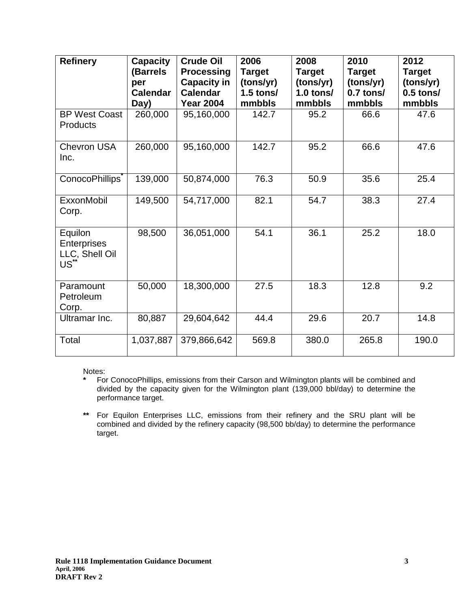| <b>Refinery</b>                                             | <b>Capacity</b><br>(Barrels<br>per<br><b>Calendar</b><br>Day) | <b>Crude Oil</b><br><b>Processing</b><br><b>Capacity in</b><br><b>Calendar</b><br><b>Year 2004</b> | 2006<br><b>Target</b><br>(tons/yr)<br>$1.5$ tons/<br>mmbbls | 2008<br><b>Target</b><br>(tons/yr)<br>$1.0$ tons/<br>mmbbls | 2010<br><b>Target</b><br>(tons/yr)<br>$0.7$ tons/<br>mmbbls | 2012<br><b>Target</b><br>(tons/yr)<br>$0.5$ tons/<br>mmbbls |
|-------------------------------------------------------------|---------------------------------------------------------------|----------------------------------------------------------------------------------------------------|-------------------------------------------------------------|-------------------------------------------------------------|-------------------------------------------------------------|-------------------------------------------------------------|
| <b>BP West Coast</b><br><b>Products</b>                     | 260,000                                                       | 95,160,000                                                                                         | 142.7                                                       | 95.2                                                        | 66.6                                                        | 47.6                                                        |
| <b>Chevron USA</b><br>Inc.                                  | 260,000                                                       | 95,160,000                                                                                         | 142.7                                                       | 95.2                                                        | 66.6                                                        | 47.6                                                        |
| ConocoPhillips <sup>®</sup>                                 | 139,000                                                       | 50,874,000                                                                                         | 76.3                                                        | 50.9                                                        | 35.6                                                        | 25.4                                                        |
| ExxonMobil<br>Corp.                                         | 149,500                                                       | 54,717,000                                                                                         | 82.1                                                        | 54.7                                                        | 38.3                                                        | 27.4                                                        |
| Equilon<br>Enterprises<br>LLC, Shell Oil<br>US <sup>*</sup> | 98,500                                                        | 36,051,000                                                                                         | 54.1                                                        | 36.1                                                        | 25.2                                                        | 18.0                                                        |
| Paramount<br>Petroleum<br>Corp.                             | 50,000                                                        | 18,300,000                                                                                         | 27.5                                                        | 18.3                                                        | 12.8                                                        | 9.2                                                         |
| Ultramar Inc.                                               | 80,887                                                        | 29,604,642                                                                                         | 44.4                                                        | 29.6                                                        | 20.7                                                        | 14.8                                                        |
| Total                                                       | 1,037,887                                                     | 379,866,642                                                                                        | 569.8                                                       | 380.0                                                       | 265.8                                                       | 190.0                                                       |

Notes:

**\*** For ConocoPhillips, emissions from their Carson and Wilmington plants will be combined and divided by the capacity given for the Wilmington plant (139,000 bbl/day) to determine the performance target.

 $\star\star$ For Equilon Enterprises LLC, emissions from their refinery and the SRU plant will be combined and divided by the refinery capacity (98,500 bb/day) to determine the performance target.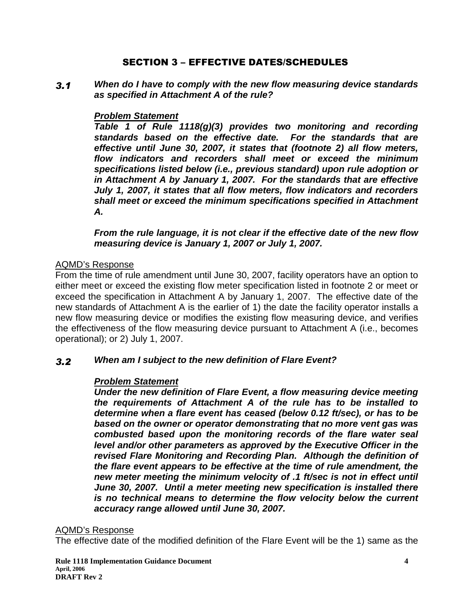## SECTION 3 – EFFECTIVE DATES/SCHEDULES

 $3.1$  **When do I have to comply with the new flow measuring device standards as specified in Attachment A of the rule?** 

## **Problem Statement**

**Table 1 of Rule 1118(g)(3) provides two monitoring and recording standards based on the effective date. For the standards that are effective until June 30, 2007, it states that (footnote 2) all flow meters, flow indicators and recorders shall meet or exceed the minimum specifications listed below (i.e., previous standard) upon rule adoption or in Attachment A by January 1, 2007. For the standards that are effective July 1, 2007, it states that all flow meters, flow indicators and recorders shall meet or exceed the minimum specifications specified in Attachment A.** 

**From the rule language, it is not clear if the effective date of the new flow measuring device is January 1, 2007 or July 1, 2007.** 

## AQMD's Response

From the time of rule amendment until June 30, 2007, facility operators have an option to either meet or exceed the existing flow meter specification listed in footnote 2 or meet or exceed the specification in Attachment A by January 1, 2007. The effective date of the new standards of Attachment A is the earlier of 1) the date the facility operator installs a new flow measuring device or modifies the existing flow measuring device, and verifies the effectiveness of the flow measuring device pursuant to Attachment A (i.e., becomes operational); or 2) July 1, 2007.

#### $3.2$ **When am I subject to the new definition of Flare Event?**

## **Problem Statement**

**Under the new definition of Flare Event, a flow measuring device meeting the requirements of Attachment A of the rule has to be installed to determine when a flare event has ceased (below 0.12 ft/sec), or has to be based on the owner or operator demonstrating that no more vent gas was combusted based upon the monitoring records of the flare water seal level and/or other parameters as approved by the Executive Officer in the revised Flare Monitoring and Recording Plan. Although the definition of the flare event appears to be effective at the time of rule amendment, the new meter meeting the minimum velocity of .1 ft/sec is not in effect until June 30, 2007. Until a meter meeting new specification is installed there is no technical means to determine the flow velocity below the current accuracy range allowed until June 30, 2007.** 

## AQMD's Response

The effective date of the modified definition of the Flare Event will be the 1) same as the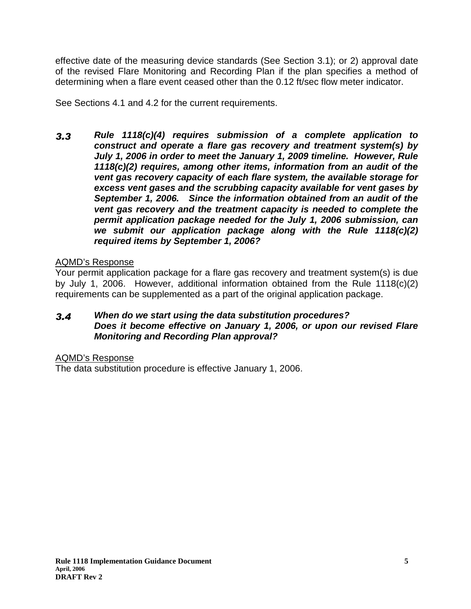effective date of the measuring device standards (See Section 3.1); or 2) approval date of the revised Flare Monitoring and Recording Plan if the plan specifies a method of determining when a flare event ceased other than the 0.12 ft/sec flow meter indicator.

See Sections 4.1 and 4.2 for the current requirements.

 $3.3$  **Rule 1118(c)(4) requires submission of a complete application to construct and operate a flare gas recovery and treatment system(s) by July 1, 2006 in order to meet the January 1, 2009 timeline. However, Rule 1118(c)(2) requires, among other items, information from an audit of the vent gas recovery capacity of each flare system, the available storage for excess vent gases and the scrubbing capacity available for vent gases by September 1, 2006. Since the information obtained from an audit of the vent gas recovery and the treatment capacity is needed to complete the permit application package needed for the July 1, 2006 submission, can we submit our application package along with the Rule 1118(c)(2) required items by September 1, 2006?** 

## AQMD's Response

Your permit application package for a flare gas recovery and treatment system(s) is due by July 1, 2006. However, additional information obtained from the Rule 1118(c)(2) requirements can be supplemented as a part of the original application package.

#### $3.4$  **When do we start using the data substitution procedures? Does it become effective on January 1, 2006, or upon our revised Flare Monitoring and Recording Plan approval?**

AQMD's Response

The data substitution procedure is effective January 1, 2006.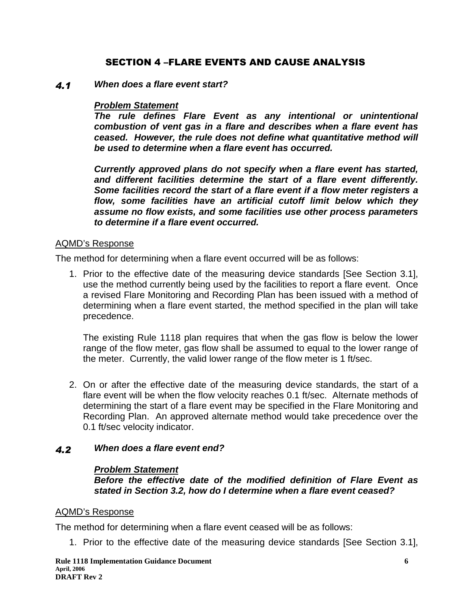## SECTION 4 -FLARE EVENTS AND CAUSE ANALYSIS

#### $4.1$ **When does a flare event start?**

### **Problem Statement**

**The rule defines Flare Event as any intentional or unintentional combustion of vent gas in a flare and describes when a flare event has ceased. However, the rule does not define what quantitative method will be used to determine when a flare event has occurred.** 

**Currently approved plans do not specify when a flare event has started, and different facilities determine the start of a flare event differently. Some facilities record the start of a flare event if a flow meter registers a flow, some facilities have an artificial cutoff limit below which they assume no flow exists, and some facilities use other process parameters to determine if a flare event occurred.** 

### AQMD's Response

The method for determining when a flare event occurred will be as follows:

1. Prior to the effective date of the measuring device standards [See Section 3.1], use the method currently being used by the facilities to report a flare event. Once a revised Flare Monitoring and Recording Plan has been issued with a method of determining when a flare event started, the method specified in the plan will take precedence.

The existing Rule 1118 plan requires that when the gas flow is below the lower range of the flow meter, gas flow shall be assumed to equal to the lower range of the meter. Currently, the valid lower range of the flow meter is 1 ft/sec.

2. On or after the effective date of the measuring device standards, the start of a flare event will be when the flow velocity reaches 0.1 ft/sec. Alternate methods of determining the start of a flare event may be specified in the Flare Monitoring and Recording Plan. An approved alternate method would take precedence over the 0.1 ft/sec velocity indicator.

#### $4.2$ **When does a flare event end?**

### **Problem Statement**

**Before the effective date of the modified definition of Flare Event as stated in Section 3.2, how do I determine when a flare event ceased?** 

### AQMD's Response

The method for determining when a flare event ceased will be as follows:

1. Prior to the effective date of the measuring device standards [See Section 3.1],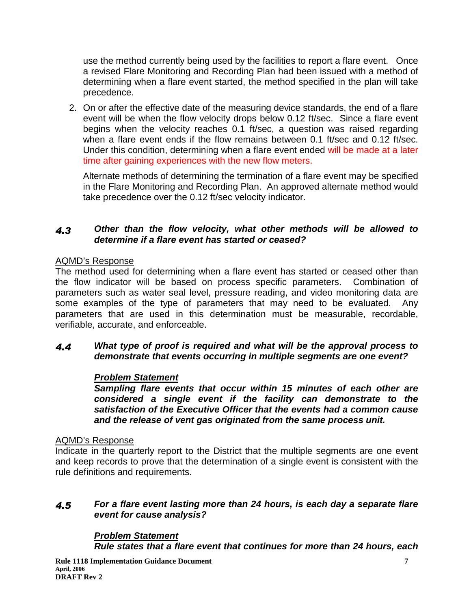use the method currently being used by the facilities to report a flare event. Once a revised Flare Monitoring and Recording Plan had been issued with a method of determining when a flare event started, the method specified in the plan will take precedence.

2. On or after the effective date of the measuring device standards, the end of a flare event will be when the flow velocity drops below 0.12 ft/sec. Since a flare event begins when the velocity reaches 0.1 ft/sec, a question was raised regarding when a flare event ends if the flow remains between 0.1 ft/sec and 0.12 ft/sec. Under this condition, determining when a flare event ended will be made at a later time after gaining experiences with the new flow meters.

Alternate methods of determining the termination of a flare event may be specified in the Flare Monitoring and Recording Plan. An approved alternate method would take precedence over the 0.12 ft/sec velocity indicator.

#### $4.3$  **Other than the flow velocity, what other methods will be allowed to determine if a flare event has started or ceased?**

## AQMD's Response

The method used for determining when a flare event has started or ceased other than the flow indicator will be based on process specific parameters. Combination of parameters such as water seal level, pressure reading, and video monitoring data are some examples of the type of parameters that may need to be evaluated. Any parameters that are used in this determination must be measurable, recordable, verifiable, accurate, and enforceable.

#### $4.4$  **What type of proof is required and what will be the approval process to demonstrate that events occurring in multiple segments are one event?**

## **Problem Statement**

**Sampling flare events that occur within 15 minutes of each other are considered a single event if the facility can demonstrate to the satisfaction of the Executive Officer that the events had a common cause and the release of vent gas originated from the same process unit.** 

## AQMD's Response

Indicate in the quarterly report to the District that the multiple segments are one event and keep records to prove that the determination of a single event is consistent with the rule definitions and requirements.

#### $4.5$  **For a flare event lasting more than 24 hours, is each day a separate flare event for cause analysis?**

## **Problem Statement**

**Rule states that a flare event that continues for more than 24 hours, each**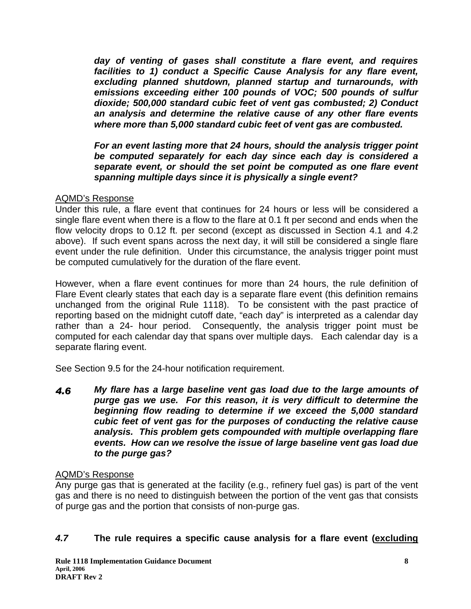**day of venting of gases shall constitute a flare event, and requires facilities to 1) conduct a Specific Cause Analysis for any flare event, excluding planned shutdown, planned startup and turnarounds, with emissions exceeding either 100 pounds of VOC; 500 pounds of sulfur dioxide; 500,000 standard cubic feet of vent gas combusted; 2) Conduct an analysis and determine the relative cause of any other flare events where more than 5,000 standard cubic feet of vent gas are combusted.** 

**For an event lasting more that 24 hours, should the analysis trigger point be computed separately for each day since each day is considered a separate event, or should the set point be computed as one flare event spanning multiple days since it is physically a single event?** 

## AQMD's Response

Under this rule, a flare event that continues for 24 hours or less will be considered a single flare event when there is a flow to the flare at 0.1 ft per second and ends when the flow velocity drops to 0.12 ft. per second (except as discussed in Section 4.1 and 4.2 above). If such event spans across the next day, it will still be considered a single flare event under the rule definition. Under this circumstance, the analysis trigger point must be computed cumulatively for the duration of the flare event.

However, when a flare event continues for more than 24 hours, the rule definition of Flare Event clearly states that each day is a separate flare event (this definition remains unchanged from the original Rule 1118). To be consistent with the past practice of reporting based on the midnight cutoff date, "each day" is interpreted as a calendar day rather than a 24- hour period. Consequently, the analysis trigger point must be computed for each calendar day that spans over multiple days. Each calendar day is a separate flaring event.

See Section 9.5 for the 24-hour notification requirement.

4.6 **My flare has a large baseline vent gas load due to the large amounts of purge gas we use. For this reason, it is very difficult to determine the beginning flow reading to determine if we exceed the 5,000 standard cubic feet of vent gas for the purposes of conducting the relative cause analysis. This problem gets compounded with multiple overlapping flare events. How can we resolve the issue of large baseline vent gas load due to the purge gas?** 

## AQMD's Response

Any purge gas that is generated at the facility (e.g., refinery fuel gas) is part of the vent gas and there is no need to distinguish between the portion of the vent gas that consists of purge gas and the portion that consists of non-purge gas.

## **4.7 The rule requires a specific cause analysis for a flare event (excluding**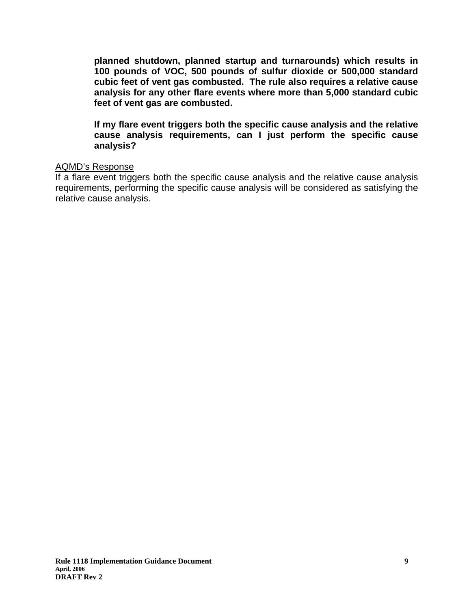**planned shutdown, planned startup and turnarounds) which results in 100 pounds of VOC, 500 pounds of sulfur dioxide or 500,000 standard cubic feet of vent gas combusted. The rule also requires a relative cause analysis for any other flare events where more than 5,000 standard cubic feet of vent gas are combusted.** 

**If my flare event triggers both the specific cause analysis and the relative cause analysis requirements, can I just perform the specific cause analysis?**

### AQMD's Response

If a flare event triggers both the specific cause analysis and the relative cause analysis requirements, performing the specific cause analysis will be considered as satisfying the relative cause analysis.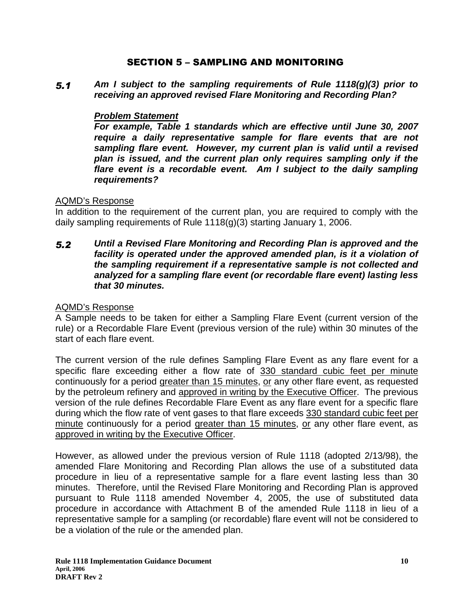## SECTION 5 – SAMPLING AND MONITORING

 $5.1$  **Am I subject to the sampling requirements of Rule 1118(g)(3) prior to receiving an approved revised Flare Monitoring and Recording Plan?** 

## **Problem Statement**

**For example, Table 1 standards which are effective until June 30, 2007 require a daily representative sample for flare events that are not sampling flare event. However, my current plan is valid until a revised plan is issued, and the current plan only requires sampling only if the flare event is a recordable event. Am I subject to the daily sampling requirements?** 

## AQMD's Response

In addition to the requirement of the current plan, you are required to comply with the daily sampling requirements of Rule 1118(g)(3) starting January 1, 2006.

 $5.2$  **Until a Revised Flare Monitoring and Recording Plan is approved and the facility is operated under the approved amended plan, is it a violation of the sampling requirement if a representative sample is not collected and analyzed for a sampling flare event (or recordable flare event) lasting less that 30 minutes.** 

### AQMD's Response

A Sample needs to be taken for either a Sampling Flare Event (current version of the rule) or a Recordable Flare Event (previous version of the rule) within 30 minutes of the start of each flare event.

The current version of the rule defines Sampling Flare Event as any flare event for a specific flare exceeding either a flow rate of 330 standard cubic feet per minute continuously for a period greater than 15 minutes, or any other flare event, as requested by the petroleum refinery and approved in writing by the Executive Officer. The previous version of the rule defines Recordable Flare Event as any flare event for a specific flare during which the flow rate of vent gases to that flare exceeds 330 standard cubic feet per minute continuously for a period greater than 15 minutes, or any other flare event, as approved in writing by the Executive Officer.

However, as allowed under the previous version of Rule 1118 (adopted 2/13/98), the amended Flare Monitoring and Recording Plan allows the use of a substituted data procedure in lieu of a representative sample for a flare event lasting less than 30 minutes. Therefore, until the Revised Flare Monitoring and Recording Plan is approved pursuant to Rule 1118 amended November 4, 2005, the use of substituted data procedure in accordance with Attachment B of the amended Rule 1118 in lieu of a representative sample for a sampling (or recordable) flare event will not be considered to be a violation of the rule or the amended plan.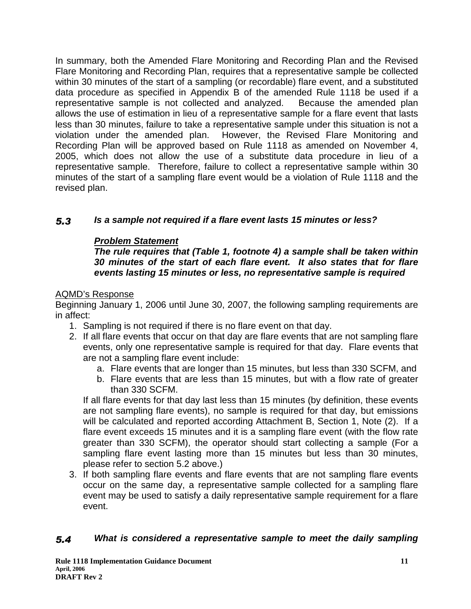In summary, both the Amended Flare Monitoring and Recording Plan and the Revised Flare Monitoring and Recording Plan, requires that a representative sample be collected within 30 minutes of the start of a sampling (or recordable) flare event, and a substituted data procedure as specified in Appendix B of the amended Rule 1118 be used if a representative sample is not collected and analyzed. Because the amended plan allows the use of estimation in lieu of a representative sample for a flare event that lasts less than 30 minutes, failure to take a representative sample under this situation is not a violation under the amended plan. However, the Revised Flare Monitoring and Recording Plan will be approved based on Rule 1118 as amended on November 4, 2005, which does not allow the use of a substitute data procedure in lieu of a representative sample. Therefore, failure to collect a representative sample within 30 minutes of the start of a sampling flare event would be a violation of Rule 1118 and the revised plan.

#### $5.3$ **Is a sample not required if a flare event lasts 15 minutes or less?**

## **Problem Statement**

**The rule requires that (Table 1, footnote 4) a sample shall be taken within 30 minutes of the start of each flare event. It also states that for flare events lasting 15 minutes or less, no representative sample is required** 

## AQMD's Response

Beginning January 1, 2006 until June 30, 2007, the following sampling requirements are in affect:

- 1. Sampling is not required if there is no flare event on that day.
- 2. If all flare events that occur on that day are flare events that are not sampling flare events, only one representative sample is required for that day. Flare events that are not a sampling flare event include:
	- a. Flare events that are longer than 15 minutes, but less than 330 SCFM, and
	- b. Flare events that are less than 15 minutes, but with a flow rate of greater than 330 SCFM.

If all flare events for that day last less than 15 minutes (by definition, these events are not sampling flare events), no sample is required for that day, but emissions will be calculated and reported according Attachment B, Section 1, Note (2). If a flare event exceeds 15 minutes and it is a sampling flare event (with the flow rate greater than 330 SCFM), the operator should start collecting a sample (For a sampling flare event lasting more than 15 minutes but less than 30 minutes, please refer to section 5.2 above.)

3. If both sampling flare events and flare events that are not sampling flare events occur on the same day, a representative sample collected for a sampling flare event may be used to satisfy a daily representative sample requirement for a flare event.

#### 5.4 **What is considered a representative sample to meet the daily sampling**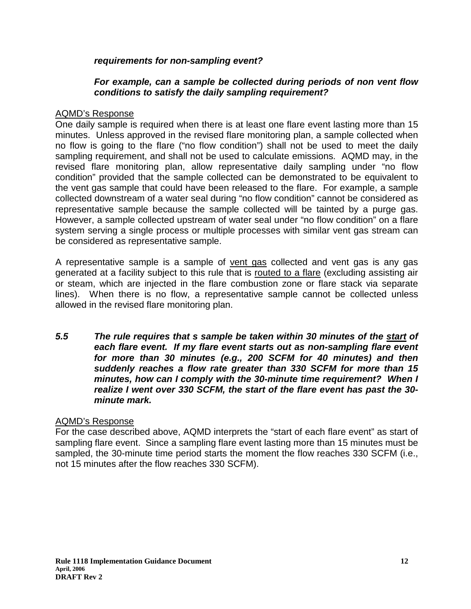## **requirements for non-sampling event?**

## **For example, can a sample be collected during periods of non vent flow conditions to satisfy the daily sampling requirement?**

## AQMD's Response

One daily sample is required when there is at least one flare event lasting more than 15 minutes. Unless approved in the revised flare monitoring plan, a sample collected when no flow is going to the flare ("no flow condition") shall not be used to meet the daily sampling requirement, and shall not be used to calculate emissions. AQMD may, in the revised flare monitoring plan, allow representative daily sampling under "no flow condition" provided that the sample collected can be demonstrated to be equivalent to the vent gas sample that could have been released to the flare. For example, a sample collected downstream of a water seal during "no flow condition" cannot be considered as representative sample because the sample collected will be tainted by a purge gas. However, a sample collected upstream of water seal under "no flow condition" on a flare system serving a single process or multiple processes with similar vent gas stream can be considered as representative sample.

A representative sample is a sample of vent gas collected and vent gas is any gas generated at a facility subject to this rule that is routed to a flare (excluding assisting air or steam, which are injected in the flare combustion zone or flare stack via separate lines). When there is no flow, a representative sample cannot be collected unless allowed in the revised flare monitoring plan.

**5.5 The rule requires that s sample be taken within 30 minutes of the start of each flare event. If my flare event starts out as non-sampling flare event for more than 30 minutes (e.g., 200 SCFM for 40 minutes) and then suddenly reaches a flow rate greater than 330 SCFM for more than 15 minutes, how can I comply with the 30-minute time requirement? When I realize I went over 330 SCFM, the start of the flare event has past the 30 minute mark.** 

## AQMD's Response

For the case described above, AQMD interprets the "start of each flare event" as start of sampling flare event. Since a sampling flare event lasting more than 15 minutes must be sampled, the 30-minute time period starts the moment the flow reaches 330 SCFM (i.e., not 15 minutes after the flow reaches 330 SCFM).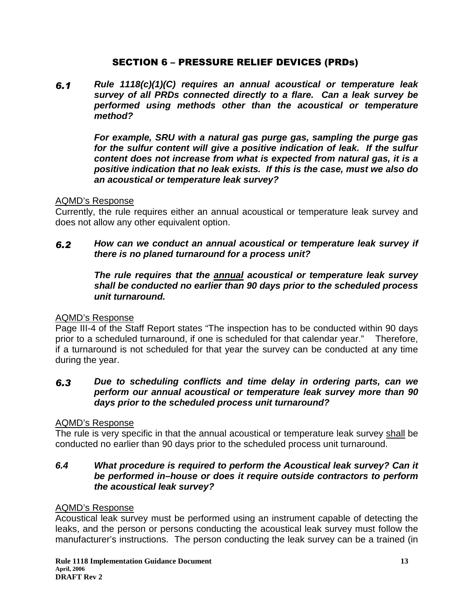## SECTION 6 – PRESSURE RELIEF DEVICES (PRDs)

 $6.1$  **Rule 1118(c)(1)(C) requires an annual acoustical or temperature leak survey of all PRDs connected directly to a flare. Can a leak survey be performed using methods other than the acoustical or temperature method?** 

> **For example, SRU with a natural gas purge gas, sampling the purge gas for the sulfur content will give a positive indication of leak. If the sulfur content does not increase from what is expected from natural gas, it is a positive indication that no leak exists. If this is the case, must we also do an acoustical or temperature leak survey?**

### AQMD's Response

Currently, the rule requires either an annual acoustical or temperature leak survey and does not allow any other equivalent option.

#### $6.2$  **How can we conduct an annual acoustical or temperature leak survey if there is no planed turnaround for a process unit?**

## **The rule requires that the annual acoustical or temperature leak survey shall be conducted no earlier than 90 days prior to the scheduled process unit turnaround.**

## AQMD's Response

Page III-4 of the Staff Report states "The inspection has to be conducted within 90 days prior to a scheduled turnaround, if one is scheduled for that calendar year." Therefore, if a turnaround is not scheduled for that year the survey can be conducted at any time during the year.

#### $6.3$  **Due to scheduling conflicts and time delay in ordering parts, can we perform our annual acoustical or temperature leak survey more than 90 days prior to the scheduled process unit turnaround?**

### AQMD's Response

The rule is very specific in that the annual acoustical or temperature leak survey shall be conducted no earlier than 90 days prior to the scheduled process unit turnaround.

## **6.4 What procedure is required to perform the Acoustical leak survey? Can it be performed in–house or does it require outside contractors to perform the acoustical leak survey?**

### AQMD's Response

Acoustical leak survey must be performed using an instrument capable of detecting the leaks, and the person or persons conducting the acoustical leak survey must follow the manufacturer's instructions. The person conducting the leak survey can be a trained (in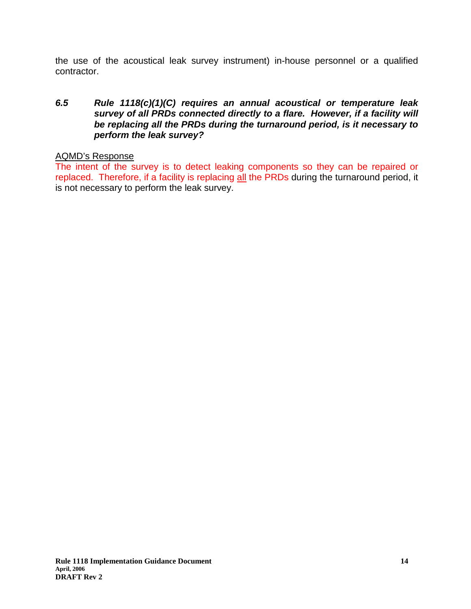the use of the acoustical leak survey instrument) in-house personnel or a qualified contractor.

## **6.5 Rule 1118(c)(1)(C) requires an annual acoustical or temperature leak survey of all PRDs connected directly to a flare. However, if a facility will be replacing all the PRDs during the turnaround period, is it necessary to perform the leak survey?**

## AQMD's Response

The intent of the survey is to detect leaking components so they can be repaired or replaced. Therefore, if a facility is replacing all the PRDs during the turnaround period, it is not necessary to perform the leak survey.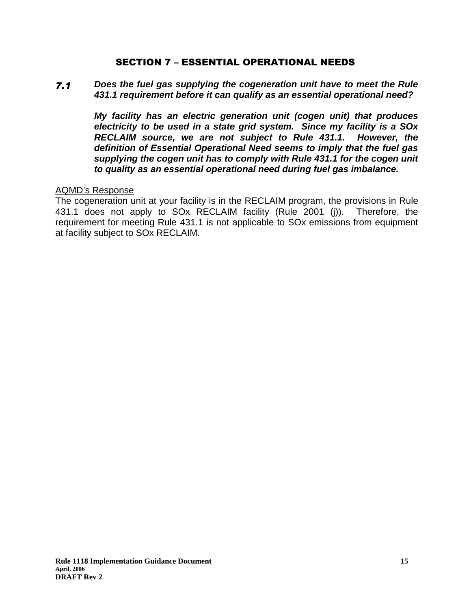## SECTION 7 – ESSENTIAL OPERATIONAL NEEDS

#### $7.1$  **Does the fuel gas supplying the cogeneration unit have to meet the Rule 431.1 requirement before it can qualify as an essential operational need?**

**My facility has an electric generation unit (cogen unit) that produces electricity to be used in a state grid system. Since my facility is a SOx RECLAIM source, we are not subject to Rule 431.1. However, the definition of Essential Operational Need seems to imply that the fuel gas supplying the cogen unit has to comply with Rule 431.1 for the cogen unit to quality as an essential operational need during fuel gas imbalance.** 

## AQMD's Response

The cogeneration unit at your facility is in the RECLAIM program, the provisions in Rule 431.1 does not apply to SOx RECLAIM facility (Rule 2001 (j)). Therefore, the requirement for meeting Rule 431.1 is not applicable to SOx emissions from equipment at facility subject to SOx RECLAIM.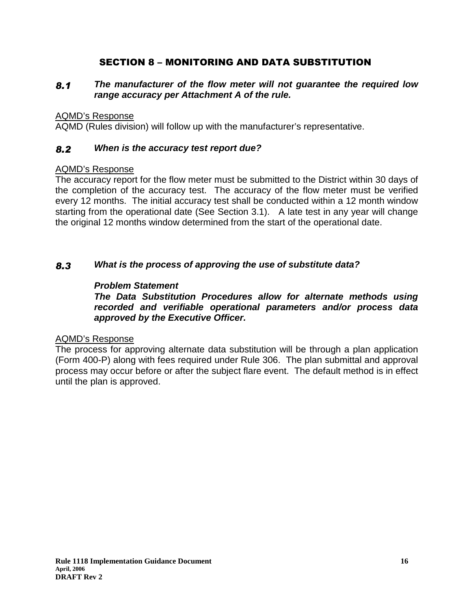## SECTION 8 – MONITORING AND DATA SUBSTITUTION

#### 8, **The manufacturer of the flow meter will not guarantee the required low range accuracy per Attachment A of the rule.**

### AQMD's Response

AQMD (Rules division) will follow up with the manufacturer's representative.

#### 8, **When is the accuracy test report due?**

## AQMD's Response

The accuracy report for the flow meter must be submitted to the District within 30 days of the completion of the accuracy test. The accuracy of the flow meter must be verified every 12 months. The initial accuracy test shall be conducted within a 12 month window starting from the operational date (See Section 3.1). A late test in any year will change the original 12 months window determined from the start of the operational date.

#### 8, **What is the process of approving the use of substitute data?**

## **Problem Statement**

**The Data Substitution Procedures allow for alternate methods using recorded and verifiable operational parameters and/or process data approved by the Executive Officer.** 

## AQMD's Response

The process for approving alternate data substitution will be through a plan application (Form 400-P) along with fees required under Rule 306. The plan submittal and approval process may occur before or after the subject flare event. The default method is in effect until the plan is approved.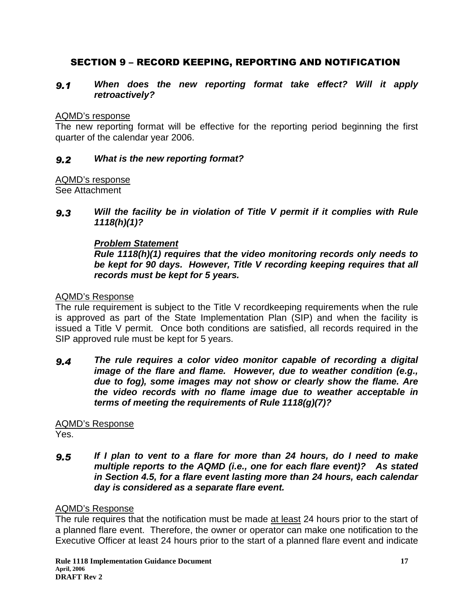## SECTION 9 – RECORD KEEPING, REPORTING AND NOTIFICATION

#### $9.1$  **When does the new reporting format take effect? Will it apply retroactively?**

### AQMD's response

The new reporting format will be effective for the reporting period beginning the first quarter of the calendar year 2006.

#### $9.2$ **What is the new reporting format?**

## AQMD's response

See Attachment

 $9.3$  **Will the facility be in violation of Title V permit if it complies with Rule 1118(h)(1)?** 

## **Problem Statement**

**Rule 1118(h)(1) requires that the video monitoring records only needs to be kept for 90 days. However, Title V recording keeping requires that all records must be kept for 5 years.** 

## AQMD's Response

The rule requirement is subject to the Title V recordkeeping requirements when the rule is approved as part of the State Implementation Plan (SIP) and when the facility is issued a Title V permit. Once both conditions are satisfied, all records required in the SIP approved rule must be kept for 5 years.

 $9.4$  **The rule requires a color video monitor capable of recording a digital image of the flare and flame. However, due to weather condition (e.g., due to fog), some images may not show or clearly show the flame. Are the video records with no flame image due to weather acceptable in terms of meeting the requirements of Rule 1118(g)(7)?** 

#### AQMD's Response Yes.

#### $9.5$  **If I plan to vent to a flare for more than 24 hours, do I need to make multiple reports to the AQMD (i.e., one for each flare event)? As stated in Section 4.5, for a flare event lasting more than 24 hours, each calendar day is considered as a separate flare event.**

## AQMD's Response

The rule requires that the notification must be made at least 24 hours prior to the start of a planned flare event. Therefore, the owner or operator can make one notification to the Executive Officer at least 24 hours prior to the start of a planned flare event and indicate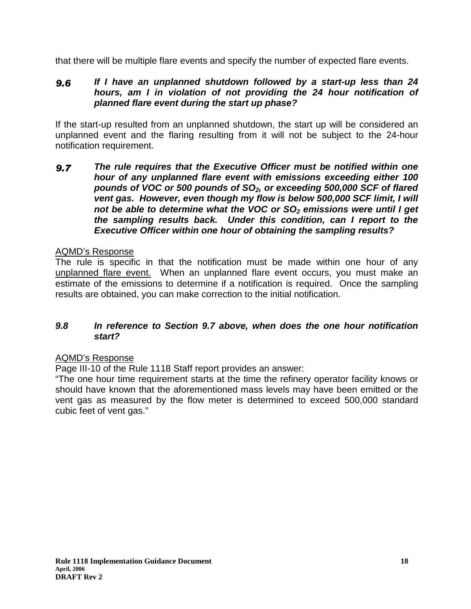that there will be multiple flare events and specify the number of expected flare events.

#### 9.6 **If I have an unplanned shutdown followed by a start-up less than 24 hours, am I in violation of not providing the 24 hour notification of planned flare event during the start up phase?**

If the start-up resulted from an unplanned shutdown, the start up will be considered an unplanned event and the flaring resulting from it will not be subject to the 24-hour notification requirement.

 $9.7$  **The rule requires that the Executive Officer must be notified within one hour of any unplanned flare event with emissions exceeding either 100 pounds of VOC or 500 pounds of SO2, or exceeding 500,000 SCF of flared vent gas. However, even though my flow is below 500,000 SCF limit, I will not be able to determine what the VOC or SO2 emissions were until I get the sampling results back. Under this condition, can I report to the Executive Officer within one hour of obtaining the sampling results?** 

## AQMD's Response

The rule is specific in that the notification must be made within one hour of any unplanned flare event. When an unplanned flare event occurs, you must make an estimate of the emissions to determine if a notification is required. Once the sampling results are obtained, you can make correction to the initial notification.

## **9.8 In reference to Section 9.7 above, when does the one hour notification start?**

## AQMD's Response

Page III-10 of the Rule 1118 Staff report provides an answer:

"The one hour time requirement starts at the time the refinery operator facility knows or should have known that the aforementioned mass levels may have been emitted or the vent gas as measured by the flow meter is determined to exceed 500,000 standard cubic feet of vent gas."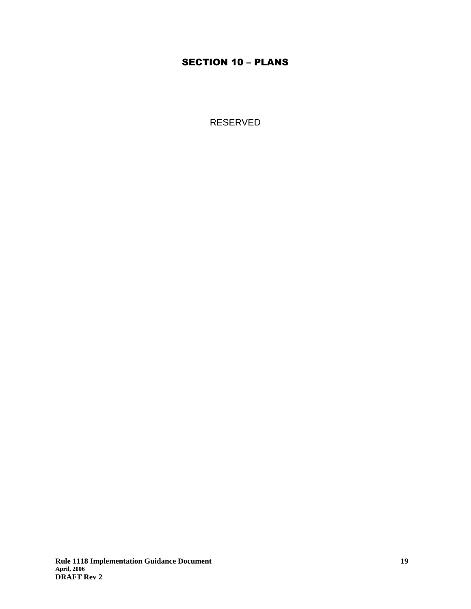## SECTION 10 – PLANS

RESERVED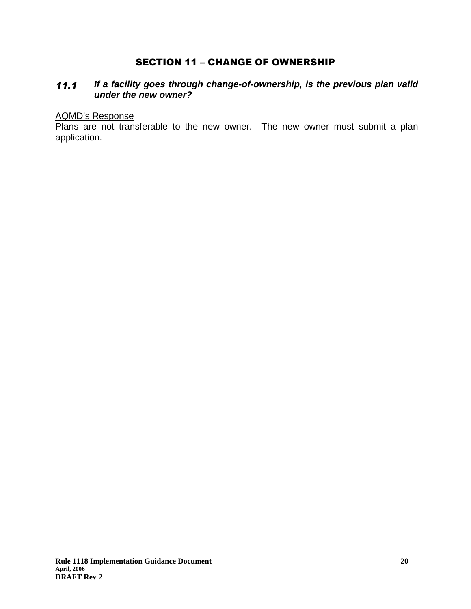## SECTION 11 - CHANGE OF OWNERSHIP

#### $11.1$  **If a facility goes through change-of-ownership, is the previous plan valid under the new owner?**

#### AQMD's Response

Plans are not transferable to the new owner. The new owner must submit a plan application.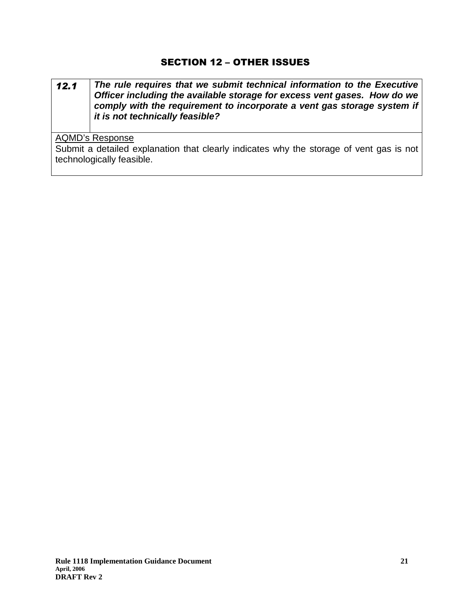## SECTION 12 – OTHER ISSUES

#### $12.1$  **The rule requires that we submit technical information to the Executive Officer including the available storage for excess vent gases. How do we comply with the requirement to incorporate a vent gas storage system if it is not technically feasible?**

## AQMD's Response

Submit a detailed explanation that clearly indicates why the storage of vent gas is not technologically feasible.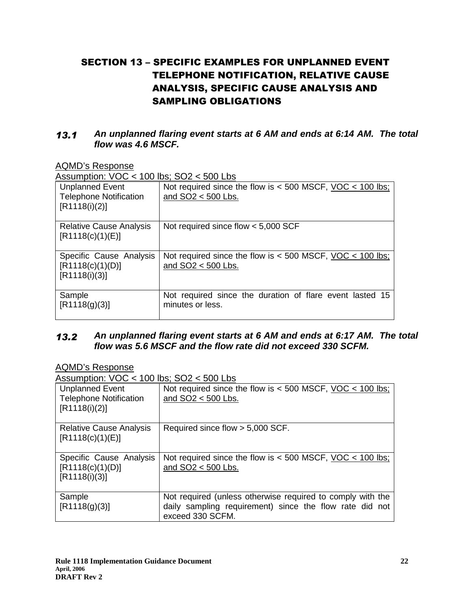## SECTION 13 – SPECIFIC EXAMPLES FOR UNPLANNED EVENT TELEPHONE NOTIFICATION, RELATIVE CAUSE ANALYSIS, SPECIFIC CAUSE ANALYSIS AND SAMPLING OBLIGATIONS

#### $13.1$  **An unplanned flaring event starts at 6 AM and ends at 6:14 AM. The total flow was 4.6 MSCF.**

AQMD's Response

Assumption: VOC < 100 lbs; SO2 < 500 Lbs

| <b>Unplanned Event</b><br><b>Telephone Notification</b><br>[R1118(i)(2)] | Not required since the flow is $<$ 500 MSCF, VOC $<$ 100 lbs;<br>and $SO2 < 500$ Lbs. |
|--------------------------------------------------------------------------|---------------------------------------------------------------------------------------|
| <b>Relative Cause Analysis</b><br>[R1118(c)(1)(E)]                       | Not required since flow $< 5,000$ SCF                                                 |
| Specific Cause Analysis<br>[R1118(c)(1)(D)]<br>[R1118(i)(3)]             | Not required since the flow is $<$ 500 MSCF, VOC $<$ 100 lbs;<br>and $SO2 < 500$ Lbs. |
| Sample<br>[R1118(g)(3)]                                                  | Not required since the duration of flare event lasted 15<br>minutes or less.          |

#### $13.2$  **An unplanned flaring event starts at 6 AM and ends at 6:17 AM. The total flow was 5.6 MSCF and the flow rate did not exceed 330 SCFM.**

## AQMD's Response

Assumption:  $VOC < 100$  lbs:  $SO2 < 500$  Lbs

| <b>Unplanned Event</b><br><b>Telephone Notification</b><br>[R1118(i)(2)] | Not required since the flow is $<$ 500 MSCF, VOC $<$ 100 lbs;<br>and SO2 < 500 Lbs.                                                       |
|--------------------------------------------------------------------------|-------------------------------------------------------------------------------------------------------------------------------------------|
| <b>Relative Cause Analysis</b><br>[R1118(c)(1)(E)]                       | Required since flow > 5,000 SCF.                                                                                                          |
| Specific Cause Analysis<br>[R1118(c)(1)(D)]<br>[R1118(i)(3)]             | Not required since the flow is $<$ 500 MSCF, VOC $<$ 100 lbs;<br>and SO2 < 500 Lbs.                                                       |
| Sample<br>[R1118(g)(3)]                                                  | Not required (unless otherwise required to comply with the<br>daily sampling requirement) since the flow rate did not<br>exceed 330 SCFM. |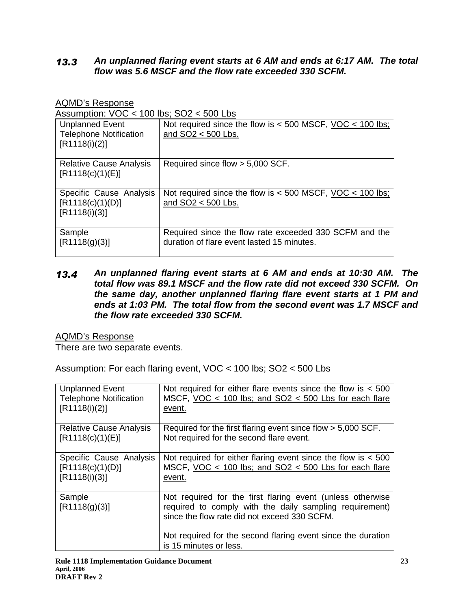#### $13.3$  **An unplanned flaring event starts at 6 AM and ends at 6:17 AM. The total flow was 5.6 MSCF and the flow rate exceeded 330 SCFM.**

## AQMD's Response

Assumption:  $VOC \lt 100$  lbs:  $SO2 \lt 500$  Lbs

| <b>Unplanned Event</b><br><b>Telephone Notification</b><br>[R1118(i)(2)] | Not required since the flow is $<$ 500 MSCF, VOC $<$ 100 lbs;<br>and SO2 < 500 Lbs.                  |
|--------------------------------------------------------------------------|------------------------------------------------------------------------------------------------------|
| <b>Relative Cause Analysis</b><br>[R1118(c)(1)(E)]                       | Required since flow > 5,000 SCF.                                                                     |
| Specific Cause Analysis<br>[R1118(c)(1)(D)]<br>[R1118(i)(3)]             | Not required since the flow is $<$ 500 MSCF, VOC $<$ 100 lbs;<br>and SO2 < 500 Lbs.                  |
| Sample<br>[R1118(g)(3)]                                                  | Required since the flow rate exceeded 330 SCFM and the<br>duration of flare event lasted 15 minutes. |

 $13.4$  **An unplanned flaring event starts at 6 AM and ends at 10:30 AM. The total flow was 89.1 MSCF and the flow rate did not exceed 330 SCFM. On the same day, another unplanned flaring flare event starts at 1 PM and ends at 1:03 PM. The total flow from the second event was 1.7 MSCF and the flow rate exceeded 330 SCFM.** 

## AQMD's Response

There are two separate events.

Assumption: For each flaring event, VOC < 100 lbs; SO2 < 500 Lbs

| <b>Unplanned Event</b>         | Not required for either flare events since the flow is $<$ 500                                                                                                        |
|--------------------------------|-----------------------------------------------------------------------------------------------------------------------------------------------------------------------|
| <b>Telephone Notification</b>  | MSCF, VOC $<$ 100 lbs; and SO2 $<$ 500 Lbs for each flare                                                                                                             |
| [R1118(i)(2)]                  | event.                                                                                                                                                                |
| <b>Relative Cause Analysis</b> | Required for the first flaring event since flow > 5,000 SCF.                                                                                                          |
| [R1118(c)(1)(E)]               | Not required for the second flare event.                                                                                                                              |
| Specific Cause Analysis        | Not required for either flaring event since the flow is $<$ 500                                                                                                       |
| [R1118(c)(1)(D)]               | MSCF, VOC $<$ 100 lbs; and SO2 $<$ 500 Lbs for each flare                                                                                                             |
| [R1118(i)(3)]                  | event.                                                                                                                                                                |
| Sample<br>[R1118(g)(3)]        | Not required for the first flaring event (unless otherwise<br>required to comply with the daily sampling requirement)<br>since the flow rate did not exceed 330 SCFM. |
|                                | Not required for the second flaring event since the duration<br>is 15 minutes or less.                                                                                |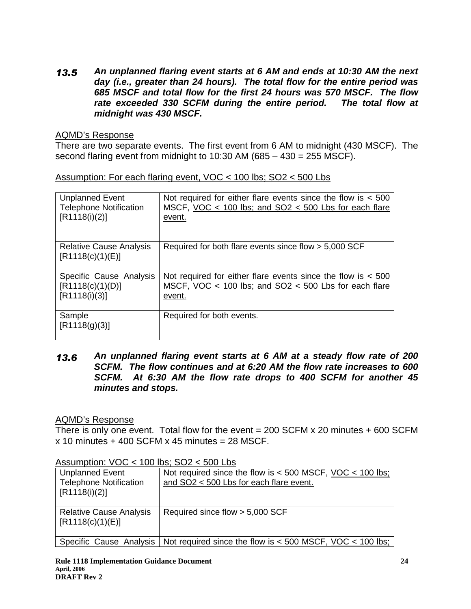$13.5$  **An unplanned flaring event starts at 6 AM and ends at 10:30 AM the next day (i.e., greater than 24 hours). The total flow for the entire period was 685 MSCF and total flow for the first 24 hours was 570 MSCF. The flow rate exceeded 330 SCFM during the entire period. The total flow at midnight was 430 MSCF.** 

## AQMD's Response

There are two separate events. The first event from 6 AM to midnight (430 MSCF). The second flaring event from midnight to 10:30 AM (685 – 430 = 255 MSCF).

| <b>Unplanned Event</b>                             | Not required for either flare events since the flow is $<$ 500 |
|----------------------------------------------------|----------------------------------------------------------------|
| <b>Telephone Notification</b>                      | MSCF, VOC $<$ 100 lbs; and SO2 $<$ 500 Lbs for each flare      |
| [R1118(i)(2)]                                      | event.                                                         |
| <b>Relative Cause Analysis</b><br>[R1118(c)(1)(E)] | Required for both flare events since flow > 5,000 SCF          |
| Specific Cause Analysis                            | Not required for either flare events since the flow is $<$ 500 |
| [R1118(c)(1)(D)]                                   | MSCF, VOC < 100 lbs; and SO2 < 500 Lbs for each flare          |
| [R1118(i)(3)]                                      | event.                                                         |
| Sample<br>[R1118(g)(3)]                            | Required for both events.                                      |

#### $13.6$  **An unplanned flaring event starts at 6 AM at a steady flow rate of 200 SCFM. The flow continues and at 6:20 AM the flow rate increases to 600 SCFM. At 6:30 AM the flow rate drops to 400 SCFM for another 45 minutes and stops.**

## AQMD's Response

There is only one event. Total flow for the event  $= 200$  SCFM  $\times$  20 minutes  $+ 600$  SCFM  $x$  10 minutes + 400 SCFM  $x$  45 minutes = 28 MSCF.

| <b>Unplanned Event</b><br><b>Telephone Notification</b><br>$[$ [R1118(i)(2)] | Not required since the flow is $<$ 500 MSCF, VOC $<$ 100 lbs;<br>and SO2 < 500 Lbs for each flare event.     |
|------------------------------------------------------------------------------|--------------------------------------------------------------------------------------------------------------|
| <b>Relative Cause Analysis</b><br>[R1118(c)(1)(E)]                           | Required since flow > 5,000 SCF                                                                              |
|                                                                              | Specific Cause Analysis   Not required since the flow is $<$ 500 MSCF, <u>VOC <math>&lt;</math> 100 lbs:</u> |

Assumption: VOC < 100 lbs; SO2 < 500 Lbs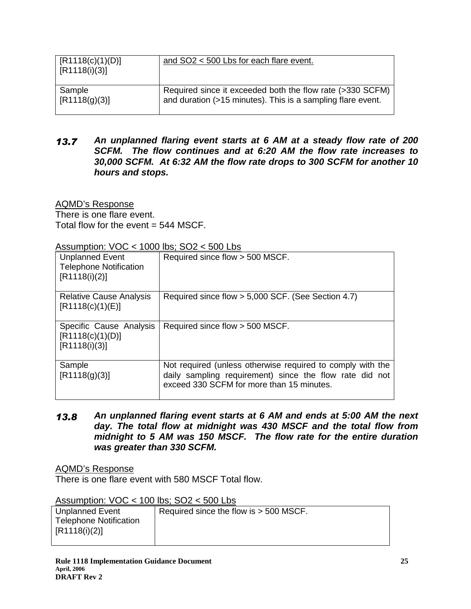| [R1118(c)(1)(D)]<br>$\sqrt{R1118(i)(3)}$ | and SO2 < 500 Lbs for each flare event.                     |
|------------------------------------------|-------------------------------------------------------------|
| Sample                                   | Required since it exceeded both the flow rate (>330 SCFM)   |
| [R1118(g)(3)]                            | and duration (>15 minutes). This is a sampling flare event. |

 $13.7$  **An unplanned flaring event starts at 6 AM at a steady flow rate of 200 SCFM. The flow continues and at 6:20 AM the flow rate increases to 30,000 SCFM. At 6:32 AM the flow rate drops to 300 SCFM for another 10 hours and stops.** 

AQMD's Response There is one flare event. Total flow for the event  $= 544$  MSCF.

| <b>Unplanned Event</b>                                       | Required since flow > 500 MSCF.                                                                                                                                    |
|--------------------------------------------------------------|--------------------------------------------------------------------------------------------------------------------------------------------------------------------|
| <b>Telephone Notification</b>                                |                                                                                                                                                                    |
| [R1118(i)(2)]                                                |                                                                                                                                                                    |
| <b>Relative Cause Analysis</b><br>[R1118(c)(1)(E)]           | Required since flow > 5,000 SCF. (See Section 4.7)                                                                                                                 |
| Specific Cause Analysis<br>[R1118(c)(1)(D)]<br>[R1118(i)(3)] | Required since flow > 500 MSCF.                                                                                                                                    |
| Sample<br>[R1118(g)(3)]                                      | Not required (unless otherwise required to comply with the<br>daily sampling requirement) since the flow rate did not<br>exceed 330 SCFM for more than 15 minutes. |

 $\Lambda$ ccumption:  $VOC > 1000$  lbs;  $SO2 > 500$  l bs

13.8 **An unplanned flaring event starts at 6 AM and ends at 5:00 AM the next day. The total flow at midnight was 430 MSCF and the total flow from midnight to 5 AM was 150 MSCF. The flow rate for the entire duration was greater than 330 SCFM.** 

AQMD's Response

There is one flare event with 580 MSCF Total flow.

Assumption: VOC < 100 lbs; SO2 < 500 Lbs

| Unplanned Event               | Required since the flow is > 500 MSCF. |
|-------------------------------|----------------------------------------|
| <b>Telephone Notification</b> |                                        |
| [R1118(i)(2)]                 |                                        |
|                               |                                        |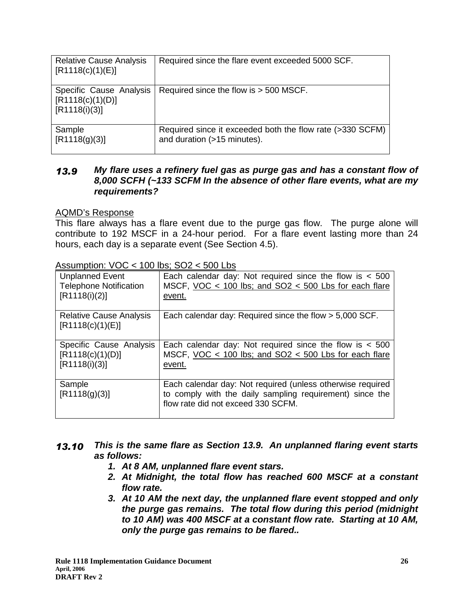| <b>Relative Cause Analysis</b><br>[R1118(c)(1)(E)]           | Required since the flare event exceeded 5000 SCF.                                        |
|--------------------------------------------------------------|------------------------------------------------------------------------------------------|
| Specific Cause Analysis<br>[R1118(c)(1)(D)]<br>[R1118(i)(3)] | Required since the flow is > 500 MSCF.                                                   |
| Sample<br>[R1118(g)(3)]                                      | Required since it exceeded both the flow rate (>330 SCFM)<br>and duration (>15 minutes). |

#### $13.9$  **My flare uses a refinery fuel gas as purge gas and has a constant flow of 8,000 SCFH (~133 SCFM In the absence of other flare events, what are my requirements?**

## AQMD's Response

This flare always has a flare event due to the purge gas flow. The purge alone will contribute to 192 MSCF in a 24-hour period. For a flare event lasting more than 24 hours, each day is a separate event (See Section 4.5).

| $\frac{1}{2}$ too dimption. $\sqrt{2}$ $\sqrt{2}$ $\sqrt{2}$ iversion, $\sqrt{2}$ $\sqrt{2}$ $\sqrt{2}$ $\sqrt{2}$ |                                                                                                                                                              |
|--------------------------------------------------------------------------------------------------------------------|--------------------------------------------------------------------------------------------------------------------------------------------------------------|
| <b>Unplanned Event</b><br><b>Telephone Notification</b><br>[R1118(i)(2)]                                           | Each calendar day: Not required since the flow is $<$ 500<br>MSCF, VOC $<$ 100 lbs; and SO2 $<$ 500 Lbs for each flare<br>event.                             |
| <b>Relative Cause Analysis</b><br>[R1118(c)(1)(E)]                                                                 | Each calendar day: Required since the flow > 5,000 SCF.                                                                                                      |
| Specific Cause Analysis<br>[R1118(c)(1)(D)]<br>[R1118(i)(3)]                                                       | Each calendar day: Not required since the flow is $<$ 500<br>MSCF, VOC $<$ 100 lbs; and SO2 $<$ 500 Lbs for each flare<br>event.                             |
| Sample<br>[R1118(g)(3)]                                                                                            | Each calendar day: Not required (unless otherwise required<br>to comply with the daily sampling requirement) since the<br>flow rate did not exceed 330 SCFM. |

 $\Delta$ ssumption:  $V\Omega C > 100$  lbs:  $S\Omega 2 > 500$  l bs

- 13.10 **This is the same flare as Section 13.9. An unplanned flaring event starts as follows:** 
	- **1. At 8 AM, unplanned flare event stars.**
	- **2. At Midnight, the total flow has reached 600 MSCF at a constant flow rate.**
	- **3. At 10 AM the next day, the unplanned flare event stopped and only the purge gas remains. The total flow during this period (midnight to 10 AM) was 400 MSCF at a constant flow rate. Starting at 10 AM, only the purge gas remains to be flared..**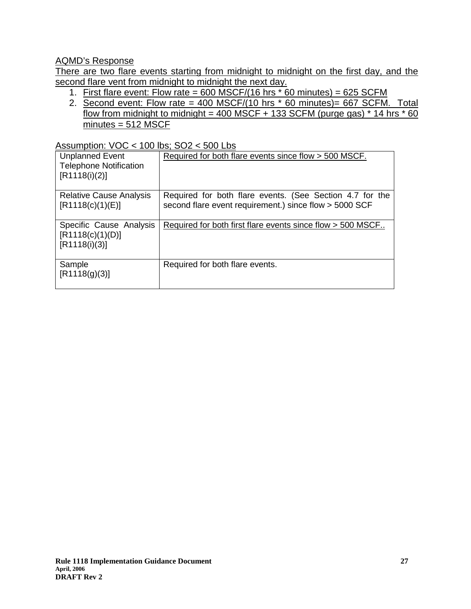## AQMD's Response

There are two flare events starting from midnight to midnight on the first day, and the second flare vent from midnight to midnight the next day.

- 1. First flare event: Flow rate =  $600$  MSCF/(16 hrs  $*$  60 minutes) =  $625$  SCFM
- 2. Second event: Flow rate = 400 MSCF/(10 hrs  $*$  60 minutes)= 667 SCFM. Total flow from midnight to midnight = 400 MSCF + 133 SCFM (purge gas)  $*$  14 hrs  $*$  60  $minutes = 512$  MSCF

## Assumption: VOC < 100 lbs; SO2 < 500 Lbs

| <b>Unplanned Event</b><br><b>Telephone Notification</b><br>[R1118(i)(2)] | Required for both flare events since flow > 500 MSCF.                                                              |
|--------------------------------------------------------------------------|--------------------------------------------------------------------------------------------------------------------|
| <b>Relative Cause Analysis</b><br>[R1118(c)(1)(E)]                       | Required for both flare events. (See Section 4.7 for the<br>second flare event requirement.) since flow > 5000 SCF |
| Specific Cause Analysis<br>[R1118(c)(1)(D)]<br>[R1118(i)(3)]             | Required for both first flare events since flow > 500 MSCF                                                         |
| Sample<br>[R1118(g)(3)]                                                  | Required for both flare events.                                                                                    |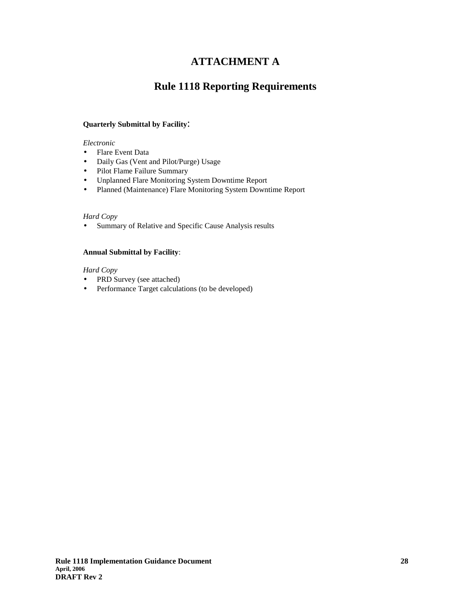## **ATTACHMENT A**

## **Rule 1118 Reporting Requirements**

#### **Quarterly Submittal by Facility**:

*Electronic* 

- Flare Event Data
- Daily Gas (Vent and Pilot/Purge) Usage
- Pilot Flame Failure Summary
- Unplanned Flare Monitoring System Downtime Report
- Planned (Maintenance) Flare Monitoring System Downtime Report

#### *Hard Copy*

• Summary of Relative and Specific Cause Analysis results

#### **Annual Submittal by Facility**:

*Hard Copy* 

- PRD Survey (see attached)
- Performance Target calculations (to be developed)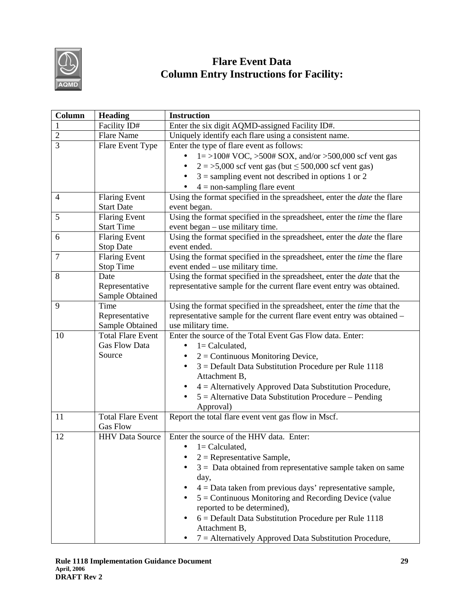

# **Flare Event Data Column Entry Instructions for Facility:**

| Column         | <b>Heading</b>           | <b>Instruction</b>                                                                       |
|----------------|--------------------------|------------------------------------------------------------------------------------------|
| $\mathbf{1}$   | Facility ID#             | Enter the six digit AQMD-assigned Facility ID#.                                          |
| $\overline{2}$ | <b>Flare Name</b>        | Uniquely identify each flare using a consistent name.                                    |
| $\overline{3}$ | Flare Event Type         | Enter the type of flare event as follows:                                                |
|                |                          | $1 = >100# \text{ VOC}, >500# \text{SOX}, \text{ and/or } >500,000 \text{ scf vent gas}$ |
|                |                          | $2 = 5,000$ scf vent gas (but $\leq 500,000$ scf vent gas)                               |
|                |                          | $3 =$ sampling event not described in options 1 or 2                                     |
|                |                          | $4 =$ non-sampling flare event                                                           |
| $\overline{4}$ | <b>Flaring Event</b>     | Using the format specified in the spreadsheet, enter the <i>date</i> the flare           |
|                | <b>Start Date</b>        | event began.                                                                             |
| 5              | <b>Flaring Event</b>     | Using the format specified in the spreadsheet, enter the time the flare                  |
|                | <b>Start Time</b>        | event began - use military time.                                                         |
| 6              | <b>Flaring Event</b>     | Using the format specified in the spreadsheet, enter the <i>date</i> the flare           |
|                | <b>Stop Date</b>         | event ended.                                                                             |
| 7              | <b>Flaring Event</b>     | Using the format specified in the spreadsheet, enter the time the flare                  |
|                | <b>Stop Time</b>         | event ended – use military time.                                                         |
| 8              | Date                     | Using the format specified in the spreadsheet, enter the date that the                   |
|                | Representative           | representative sample for the current flare event entry was obtained.                    |
|                | Sample Obtained          |                                                                                          |
| 9              | Time                     | Using the format specified in the spreadsheet, enter the time that the                   |
|                | Representative           | representative sample for the current flare event entry was obtained -                   |
|                | Sample Obtained          | use military time.                                                                       |
| 10             | <b>Total Flare Event</b> | Enter the source of the Total Event Gas Flow data. Enter:                                |
|                | Gas Flow Data            | $1 =$ Calculated,                                                                        |
|                | Source                   | $2 =$ Continuous Monitoring Device,                                                      |
|                |                          | $3$ = Default Data Substitution Procedure per Rule 1118                                  |
|                |                          | Attachment B,                                                                            |
|                |                          | $4 =$ Alternatively Approved Data Substitution Procedure,                                |
|                |                          | $5 =$ Alternative Data Substitution Procedure – Pending                                  |
|                |                          | Approval)                                                                                |
| 11             | <b>Total Flare Event</b> | Report the total flare event vent gas flow in Mscf.                                      |
|                | <b>Gas Flow</b>          |                                                                                          |
| 12             | <b>HHV</b> Data Source   | Enter the source of the HHV data. Enter:                                                 |
|                |                          | $l =$ Calculated,<br>٠                                                                   |
|                |                          | $2$ = Representative Sample,                                                             |
|                |                          | $3 =$ Data obtained from representative sample taken on same                             |
|                |                          | day,                                                                                     |
|                |                          | $4 =$ Data taken from previous days' representative sample,                              |
|                |                          | $5 =$ Continuous Monitoring and Recording Device (value                                  |
|                |                          | reported to be determined),                                                              |
|                |                          | $6$ = Default Data Substitution Procedure per Rule 1118                                  |
|                |                          | Attachment B,                                                                            |
|                |                          | 7 = Alternatively Approved Data Substitution Procedure,                                  |